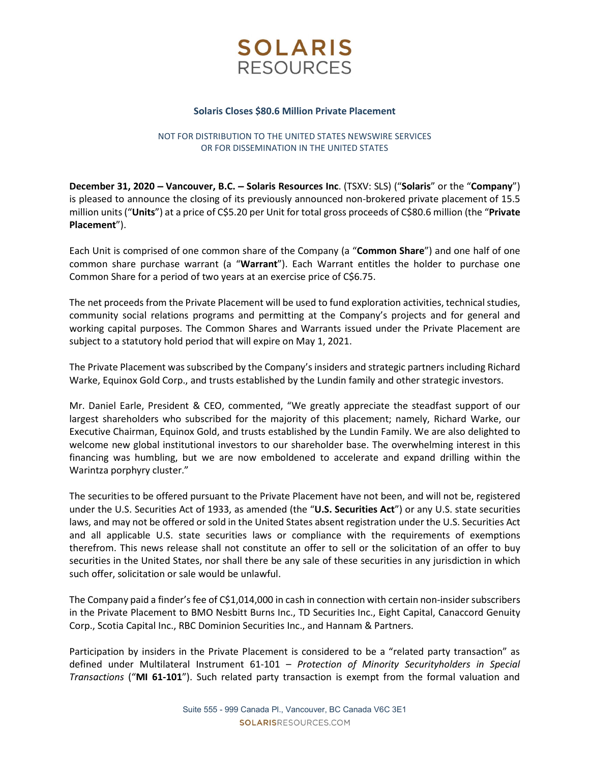

#### Solaris Closes \$80.6 Million Private Placement

## NOT FOR DISTRIBUTION TO THE UNITED STATES NEWSWIRE SERVICES OR FOR DISSEMINATION IN THE UNITED STATES

December 31, 2020 – Vancouver, B.C. – Solaris Resources Inc. (TSXV: SLS) ("Solaris" or the "Company") is pleased to announce the closing of its previously announced non-brokered private placement of 15.5 million units ("Units") at a price of C\$5.20 per Unit for total gross proceeds of C\$80.6 million (the "Private Placement").

Each Unit is comprised of one common share of the Company (a "Common Share") and one half of one common share purchase warrant (a "Warrant"). Each Warrant entitles the holder to purchase one Common Share for a period of two years at an exercise price of C\$6.75.

The net proceeds from the Private Placement will be used to fund exploration activities, technical studies, community social relations programs and permitting at the Company's projects and for general and working capital purposes. The Common Shares and Warrants issued under the Private Placement are subject to a statutory hold period that will expire on May 1, 2021.

The Private Placement was subscribed by the Company's insiders and strategic partners including Richard Warke, Equinox Gold Corp., and trusts established by the Lundin family and other strategic investors.

Mr. Daniel Earle, President & CEO, commented, "We greatly appreciate the steadfast support of our largest shareholders who subscribed for the majority of this placement; namely, Richard Warke, our Executive Chairman, Equinox Gold, and trusts established by the Lundin Family. We are also delighted to welcome new global institutional investors to our shareholder base. The overwhelming interest in this financing was humbling, but we are now emboldened to accelerate and expand drilling within the Warintza porphyry cluster."

The securities to be offered pursuant to the Private Placement have not been, and will not be, registered under the U.S. Securities Act of 1933, as amended (the "U.S. Securities Act") or any U.S. state securities laws, and may not be offered or sold in the United States absent registration under the U.S. Securities Act and all applicable U.S. state securities laws or compliance with the requirements of exemptions therefrom. This news release shall not constitute an offer to sell or the solicitation of an offer to buy securities in the United States, nor shall there be any sale of these securities in any jurisdiction in which such offer, solicitation or sale would be unlawful.

The Company paid a finder's fee of C\$1,014,000 in cash in connection with certain non-insider subscribers in the Private Placement to BMO Nesbitt Burns Inc., TD Securities Inc., Eight Capital, Canaccord Genuity Corp., Scotia Capital Inc., RBC Dominion Securities Inc., and Hannam & Partners.

Participation by insiders in the Private Placement is considered to be a "related party transaction" as defined under Multilateral Instrument 61-101 – Protection of Minority Securityholders in Special Transactions ("MI 61-101"). Such related party transaction is exempt from the formal valuation and